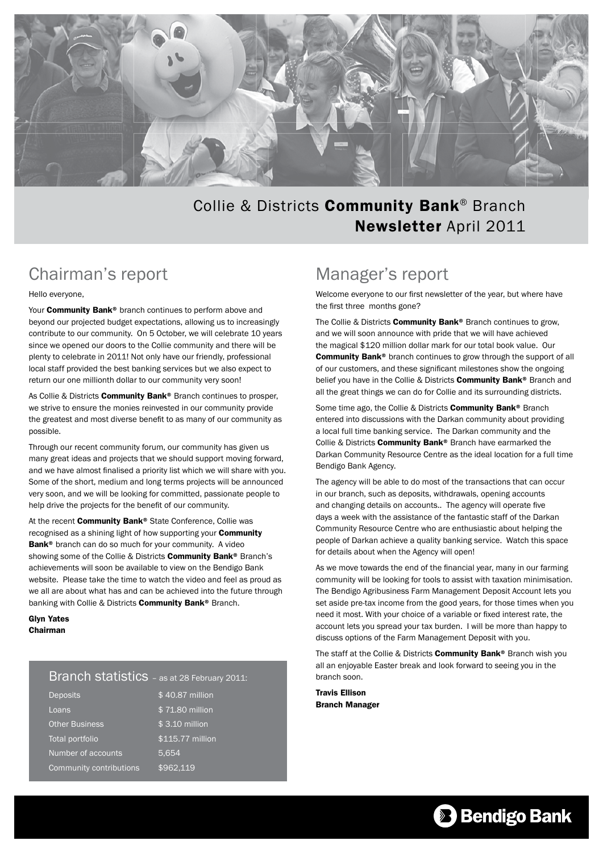

# Collie & Districts Community Bank® Branch Newsletter April 2011

# Chairman's report

#### Hello everyone,

Your **Community Bank®** branch continues to perform above and beyond our projected budget expectations, allowing us to increasingly contribute to our community. On 5 October, we will celebrate 10 years since we opened our doors to the Collie community and there will be plenty to celebrate in 2011! Not only have our friendly, professional local staff provided the best banking services but we also expect to return our one millionth dollar to our community very soon!

As Collie & Districts **Community Bank®** Branch continues to prosper, we strive to ensure the monies reinvested in our community provide the greatest and most diverse benefit to as many of our community as possible.

Through our recent community forum, our community has given us many great ideas and projects that we should support moving forward, and we have almost finalised a priority list which we will share with you. Some of the short, medium and long terms projects will be announced very soon, and we will be looking for committed, passionate people to help drive the projects for the benefit of our community.

At the recent **Community Bank®** State Conference, Collie was recognised as a shining light of how supporting your **Community** Bank<sup>®</sup> branch can do so much for your community. A video showing some of the Collie & Districts Community Bank® Branch's achievements will soon be available to view on the Bendigo Bank website. Please take the time to watch the video and feel as proud as we all are about what has and can be achieved into the future through banking with Collie & Districts Community Bank® Branch.

Glyn Yates Chairman

### Branch statistics – as at 28 February 2011:

| <b>Deposits</b>         | \$40.87 million  |
|-------------------------|------------------|
| Loans                   | \$71.80 million  |
| <b>Other Business</b>   | \$3.10 million   |
| Total portfolio         | \$115.77 million |
| Number of accounts      | 5.654            |
| Community contributions | \$962,119        |

## Manager's report

Welcome everyone to our first newsletter of the year, but where have the first three months gone?

The Collie & Districts **Community Bank®** Branch continues to grow, and we will soon announce with pride that we will have achieved the magical \$120 million dollar mark for our total book value. Our Community Bank® branch continues to grow through the support of all of our customers, and these significant milestones show the ongoing belief you have in the Collie & Districts **Community Bank®** Branch and all the great things we can do for Collie and its surrounding districts.

Some time ago, the Collie & Districts **Community Bank®** Branch entered into discussions with the Darkan community about providing a local full time banking service. The Darkan community and the Collie & Districts **Community Bank®** Branch have earmarked the Darkan Community Resource Centre as the ideal location for a full time Bendigo Bank Agency.

The agency will be able to do most of the transactions that can occur in our branch, such as deposits, withdrawals, opening accounts and changing details on accounts.. The agency will operate five days a week with the assistance of the fantastic staff of the Darkan Community Resource Centre who are enthusiastic about helping the people of Darkan achieve a quality banking service. Watch this space for details about when the Agency will open!

As we move towards the end of the financial year, many in our farming community will be looking for tools to assist with taxation minimisation. The Bendigo Agribusiness Farm Management Deposit Account lets you set aside pre-tax income from the good years, for those times when you need it most. With your choice of a variable or fixed interest rate, the account lets you spread your tax burden. I will be more than happy to discuss options of the Farm Management Deposit with you.

The staff at the Collie & Districts Community Bank® Branch wish you all an enjoyable Easter break and look forward to seeing you in the branch soon.

Travis Ellison Branch Manager